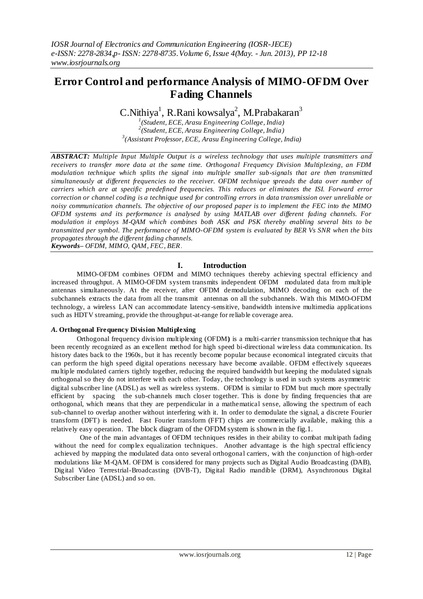# **Error Control and performance Analysis of MIMO-OFDM Over Fading Channels**

 $\mathrm{C}.$ Nithiya $^1$ , R.Rani kowsalya $^2$ , M.Prabakaran $^3$ 

*1 (Student, ECE, Arasu Engineering College, India) 2 (Student, ECE, Arasu Engineering College, India) 3 (Assistant Professor, ECE, Arasu Engineering College, India)*

*ABSTRACT: Multiple Input Multiple Output is a wireless technology that uses multiple transmitters and receivers to transfer more data at the same time. Orthogonal Frequency Division Multiplexing, an FDM modulation technique which splits the signal into multiple smaller sub-signals that are then transmitted simultaneously at different frequencies to the receiver. OFDM technique spreads the data over number of carriers which are at specific predefined frequencies. This reduces or eliminates the ISI. Forward error correction or channel coding is a technique used for controlling errors in data transmission over unreliable or noisy communication channels. The objective of our proposed paper is to implement the FEC into the MIMO OFDM systems and its performance is analysed by using MATLAB over different fading channels. For modulation it employs M-QAM which combines both ASK and PSK thereby enabling several bits to be transmitted per symbol. The performance of MIMO-OFDM system is evaluated by BER Vs SNR when the bits propagates through the different fading channels. Keywords– OFDM, MIMO, QAM, FEC, BER.*

### **I. Introduction**

MIMO-OFDM combines OFDM and MIMO techniques thereby achieving spectral efficiency and increased throughput. A MIMO-OFDM system transmits independent OFDM modulated data from multiple antennas simultaneously. At the receiver, after OFDM demodulation, MIMO decoding on each of the subchannels extracts the data from all the transmit antennas on all the subchannels. With this MIMO-OFDM technology, a wireless LAN can accommodate latency-sensitive, bandwidth intensive multimedia applications such as HDTV streaming, provide the throughput-at-range for reliable coverage area.

### *A.* **Orthogonal Frequency Division Multiplexing**

Orthogonal frequency division multiplexing (OFDM**)** is a multi-carrier transmission technique that has been recently recognized as an excellent method for high speed bi-directional wireless data communication. Its history dates back to the 1960s, but it has recently become popular because economical integrated circuits that can perform the high speed digital operations necessary have become available. OFDM effectively squeezes multiple modulated carriers tightly together, reducing the required bandwidth but keeping the modulated signals orthogonal so they do not interfere with each other. Today, the technology is used in such systems asymmetric digital subscriber line (ADSL) as well as wireless systems. OFDM is similar to FDM but much more spectrally efficient by spacing the sub-channels much closer together. This is done by finding frequencies that are orthogonal, which means that they are perpendicular in a mathematical sense, allowing the spectrum of each sub-channel to overlap another without interfering with it. In order to demodulate the signal, a discrete Fourier transform (DFT) is needed. Fast Fourier transform (FFT) chips are commercially available, making this a relatively easy operation. The block diagram of the OFDM system is shown in the fig.1.

One of the main advantages of OFDM techniques resides in their ability to combat multipath fading without the need for complex equalization techniques. Another advantage is the high spectral efficiency achieved by mapping the modulated data onto several orthogonal carriers, with the conjunction of high-order modulations like M-QAM. OFDM is considered for many projects such as Digital Audio Broadcasting (DAB), Digital Video Terrestrial-Broadcasting (DVB-T), Digital Radio mandible (DRM), Asynchronous Digital Subscriber Line (ADSL) and so on.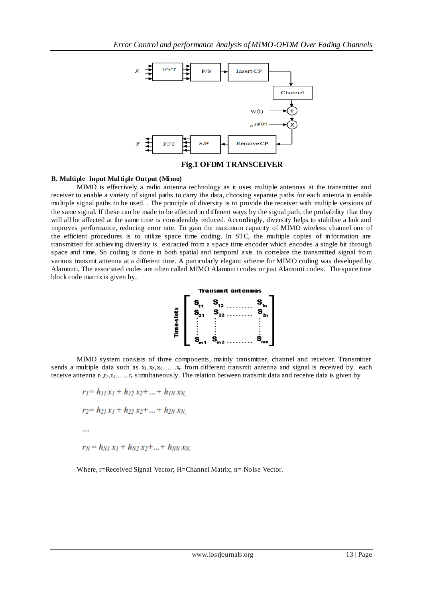

**Fig.1 OFDM TRANSCEIVER**

#### **B. Multiple Input Multiple Output (Mimo)**

MIMO is effectively a radio antenna technology as it uses multiple antennas at the transmitter and receiver to enable a variety of signal paths to carry the data, choosing separate paths for each antenna to enable multiple signal paths to be used. . The principle of diversity is to provide the receiver with multiple versions of the same signal. If these can be made to be affected in different ways by the signal path, the probability t hat they will all be affected at the same time is considerably reduced. Accordingly, diversity helps to stabilise a link and improves performance, reducing error rate. To gain the maximum capacity of MIMO wireless channel one of the efficient procedures is to utilize space time coding. In STC, the multiple copies of information are transmitted for achieving diversity is extracted from a space time encoder which encodes a single bit through space and time. So coding is done in both spatial and temporal axis to correlate the transmitted signal from various transmit antenna at a different time. A particularly elegant scheme for MIMO coding was developed by Alamouti. The associated codes are often called MIMO Alamouti codes or just Alamouti codes. The space time block code matrix is given by,



MIMO system consists of three components, mainly transmitter, channel and receiver. Transmitter sends a multiple data such as  $x_1, x_2, x_3, \ldots, x_n$  from different transmit antenna and signal is received by each receive antenna  $r_1, r_2, r_3, \ldots, r_n$  simultaneously. The relation between transmit data and receive data is given by

$$
r_1 = h_{11}x_1 + h_{12}x_2 + \dots + h_{1N}x_N,
$$
  
\n
$$
r_2 = h_{21}x_1 + h_{22}x_2 + \dots + h_{2N}x_N,
$$
  
\n...  
\n
$$
r_N = h_{N1}x_1 + h_{N2}x_2 + \dots + h_{NN}x_N.
$$

Where, r=Received Signal Vector; H=Channel Matrix; n= Noise Vector.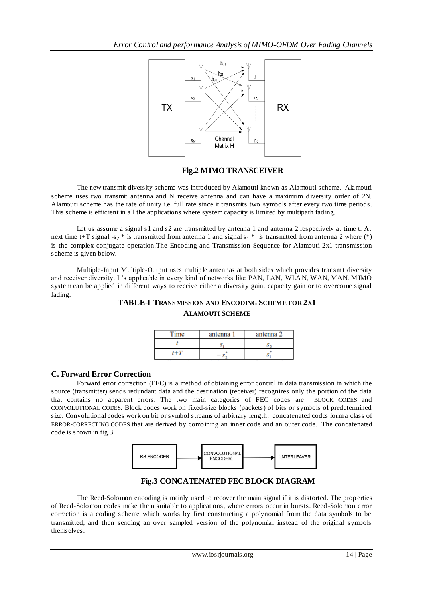

## **Fig.2 MIMO TRANSCEIVER**

The new transmit diversity scheme was introduced by Alamouti known as Alamouti scheme. Alamouti scheme uses two transmit antenna and N receive antenna and can have a maximum diversity order of 2N. Alamouti scheme has the rate of unity i.e. full rate since it transmits two symbols after every two time periods. This scheme is efficient in all the applications where system capacity is limited by multipath fading.

Let us assume a signal s1 and s2 are transmitted by antenna 1 and antenna 2 respectively at time t. At next time t+T signal -s<sub>2</sub> \* is transmitted from antenna 1 and signal s<sub>1</sub> \* is transmitted from antenna 2 where (\*) is the complex conjugate operation.The Encoding and Transmission Sequence for Alamouti 2x1 transmission scheme is given below.

Multiple-Input Multiple-Output uses multiple antennas at both sides which provides transmit diversity and receiver diversity. It's applicable in every kind of networks like PAN, LAN, WLAN, WAN, MAN. MIMO system can be applied in different ways to receive either a diversity gain, capacity gain or to overcome signal fading.

## **TABLE-I TRANSMISSION AND ENCODING SCHEME FOR 2X1 ALAMOUTI SCHEME**

| ١ē  | antenna 1 | antenna 2 |
|-----|-----------|-----------|
|     |           |           |
| 1+7 |           | o         |

### **C. Forward Error Correction**

Forward error correction (FEC) is a method of obtaining error control in data transmission in which the source (transmitter) sends redundant data and the destination (receiver) recognizes only the portion of the data that contains no apparent errors. The two main categories of FEC codes are [BLOCK CODES](http://en.wikipedia.org/wiki/Block_code) and [CONVOLUTIONAL CODES](http://en.wikipedia.org/wiki/Convolutional_code). Block codes work on fixed-size blocks (packets) of bits or symbols of predetermined size. Convolutional codes work on bit or symbol streams of arbitrary length. concatenated codes form a class of ERROR-[CORRECTING CODES](http://en.wikipedia.org/wiki/Error-correcting_code) that are derived by combining an inner code and an outer code. The concatenated code is shown in fig.3.



## **Fig.3 CONCATENATED FEC BLOCK DIAGRAM**

The Reed-Solomon encoding is mainly used to recover the main signal if it is distorted. The prop erties of Reed-Solomon codes make them suitable to applications, where errors occur in bursts. Reed -Solomon error correction is a coding scheme which works by first constructing a polynomial from the data symbols to be transmitted, and then sending an over sampled version of the polynomial instead of the original symbols themselves.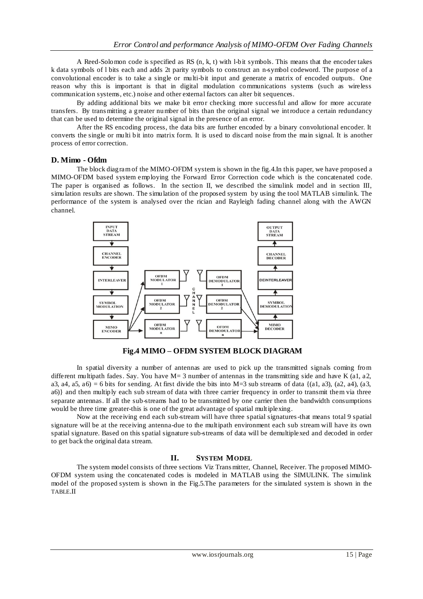A Reed-Solomon code is specified as RS (n, k, t) with l-bit symbols. This means that the encoder takes k data symbols of l bits each and adds 2t parity symbols to construct an n-symbol codeword. The purpose of a convolutional encoder is to take a single or multi-bit input and generate a matrix of encoded outputs. One reason why this is important is that in digital modulation communications systems (such as wireless communication systems, etc.) noise and other external factors can alter bit sequences.

By adding additional bits we make bit error checking more successful and allow for more accurate transfers. By trans mitting a greater number of bits than the original signal we introduce a certain redundancy that can be used to determine the original signal in the presence of an error.

After the RS encoding process, the data bits are further encoded by a binary convolutional encoder. It converts the single or multi bit into matrix form. It is used to discard noise from the main signal. It is another process of error correction.

### **D. Mimo - Ofdm**

The block diagram of the MIMO-OFDM system is shown in the fig.4.In this paper, we have proposed a MIMO-OFDM based system employing the Forward Error Correction code which is the concatenated code. The paper is organised as follows. In the section II, we described the simulink model and in section III, simulation results are shown. The simulation of the proposed system by using the tool MATLAB simulink. The performance of the system is analysed over the rician and Rayleigh fading channel along with the AWGN channel.



**Fig.4 MIMO – OFDM SYSTEM BLOCK DIAGRAM**

In spatial diversity a number of antennas are used to pick up the transmitted signals coming from different multipath fades. Say. You have M= 3 number of antennas in the transmitting side and have K (a1, a2, a3, a4, a5, a6) = 6 bits for sending. At first divide the bits into M=3 sub streams of data { $(a1, a3)$ ,  $(a2, a4)$ ,  $(a3, a3)$ a6)} and then multiply each sub stream of data with three carrier frequency in order to transmit them via three separate antennas. If all the sub-streams had to be transmitted by one carrier then the bandwidth consumptions would be three time greater-this is one of the great advantage of spatial multiplexing.

Now at the receiving end each sub-stream will have three spatial signatures-that means total 9 spatial signature will be at the receiving antenna-due to the multipath environment each sub stream will have its own spatial signature. Based on this spatial signature sub-streams of data will be demultiplexed and decoded in order to get back the original data stream.

### **II. SYSTEM MODEL**

The system model consists of three sections Viz Trans mitter, Channel, Receiver. The proposed MIMO-OFDM system using the concatenated codes is modeled in MATLAB using the SIMULINK. The simulink model of the proposed system is shown in the Fig.5.The parameters for the simulated system is shown in the TABLE.II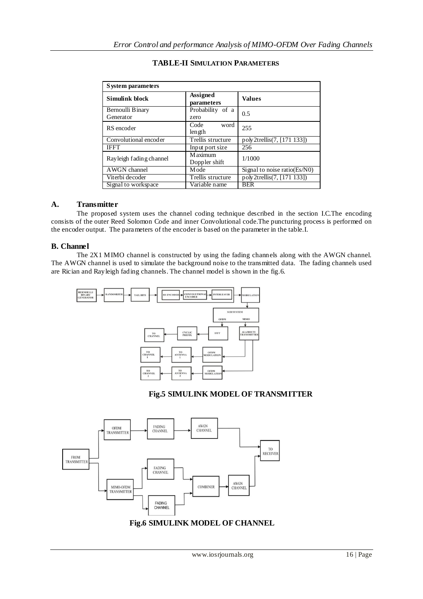| System parameters        |                        |                              |  |
|--------------------------|------------------------|------------------------------|--|
| Simulink block           | Assigned<br>parameters | <b>Values</b>                |  |
| Bernoulli Binary         | Probability of a       | 0.5                          |  |
| Generator                | zero                   |                              |  |
| RS encoder               | Code<br>word           | 255                          |  |
|                          | len gth                |                              |  |
| Convolutional encoder    | Trellis structure      | poly2trellis(7, [171 133])   |  |
| <b>IFFT</b>              | Input port size        | 256                          |  |
| Ray leigh fading channel | M aximum               | 1/1000                       |  |
|                          | Doppler shift          |                              |  |
| AWGN channel             | M ode                  | Signal to noise ratio(Es/N0) |  |
| Viterbi decoder          | Trellis structure      | poly2trellis(7, [171 133])   |  |
| Signal to workspace      | Variable name          | <b>BER</b>                   |  |

### **TABLE-II SIMULATION PARAMETERS**

### **A. Transmitter**

The proposed system uses the channel coding technique described in the section I.C.The encoding consists of the outer Reed Solomon Code and inner Convolutional code.The puncturing process is performed on the encoder output. The parameters of the encoder is based on the parameter in the table.I.

### **B. Channel**

The 2X1 MIMO channel is constructed by using the fading channels along with the AWGN channel. The AWGN channel is used to simulate the background noise to the transmitted data. The fading channels used are Rician and Rayleigh fading channels. The channel model is shown in the fig.6.



### **Fig.5 SIMULINK MODEL OF TRANSMITTER**

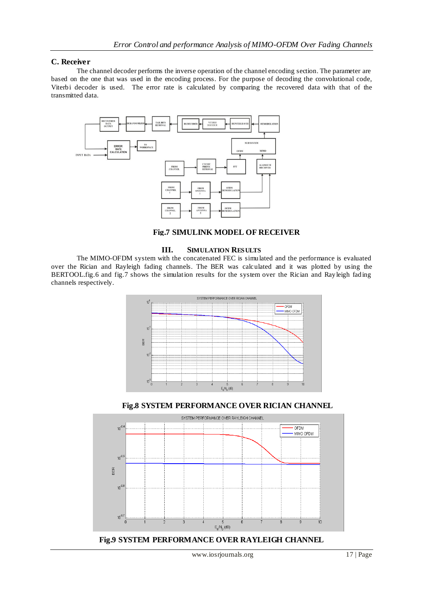### **C. Receiver**

The channel decoder performs the inverse operation of the channel encoding section. The parameter are based on the one that was used in the encoding process. For the purpose of decoding the convolutional code, Viterbi decoder is used. The error rate is calculated by comparing the recovered data with that of the transmitted data.





#### **III. SIMULATION RESULTS**

The MIMO-OFDM system with the concatenated FEC is simulated and the performance is evaluated over the Rician and Rayleigh fading channels. The BER was calculated and it was plotted by using the BERTOOL.fig.6 and fig.7 shows the simulation results for the system over the Rician and Rayleigh fading channels respectively.



**Fig.8 SYSTEM PERFORMANCE OVER RICIAN CHANNEL**



**Fig.9 SYSTEM PERFORMANCE OVER RAYLEIGH CHANNEL**